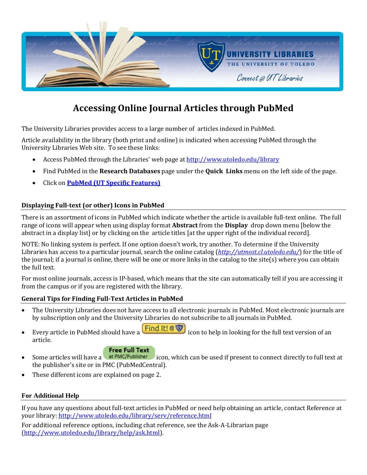

# **Accessing Online Journal Articles through PubMed**

The University Libraries provides access to a large number of articles indexed in PubMed.

Article availability in the library (both print and online) is indicated when accessing PubMed through the University Libraries Web site. To see these links:

- Access PubMed through the Libraries' web page a[t http://www.utoledo.edu/library](http://www.utoledo.edu/library)
- Find PubMed in the **Research Databases** page under the **Quick Links** menu on the left side of the page.
- Click on **[PubMed \(UT Specific Features\)](http://www.ncbi.nlm.nih.gov/pubmed?holding=mcolib_fft_ndi&otool=mcolib&myncbishare=mcolib)**

# **Displaying Full-text (or other) Icons in PubMed**

There is an assortment of icons in PubMed which indicate whether the article is available full-text online. The full range of icons will appear when using display format **Abstract** from the **Display** drop down menu [below the abstract in a display list] or by clicking on the article titles [at the upper right of the individual record].

NOTE: No linking system is perfect. If one option doesn't work, try another. To determine if the University Libraries has access to a particular journal, search the online catalog (*<http://utmost.cl.utoledo.edu/>*) for the title of the journal; if a journal is online, there will be one or more links in the catalog to the site(s) where you can obtain the full text.

For most online journals, access is IP-based, which means that the site can automatically tell if you are accessing it from the campus or if you are registered with the library.

# **General Tips for Finding Full-Text Articles in PubMed**

- The University Libraries does not have access to all electronic journals in PubMed. Most electronic journals are by subscription only and the University Libraries do not subscribe to all journals in PubMed.
- Every article in PubMed should have a **Find It! @ 47** icon to help in looking for the full text version of an article.

## **Free Full Text**

- Some articles will have a **at PMC/Publisher** icon, which can be used if present to connect directly to full text at the publisher's site or in PMC (PubMedCentral).
- These different icons are explained on page 2.

# **For Additional Help**

If you have any questions about full-text articles in PubMed or need help obtaining an article, contact Reference at your library:<http://www.utoledo.edu/library/serv/reference.html>

For additional reference options, including chat reference, see the Ask-A-Librarian page [\(http://www.utoledo.edu/library/help/ask.html\)](http://www.utoledo.edu/library/help/ask.html).